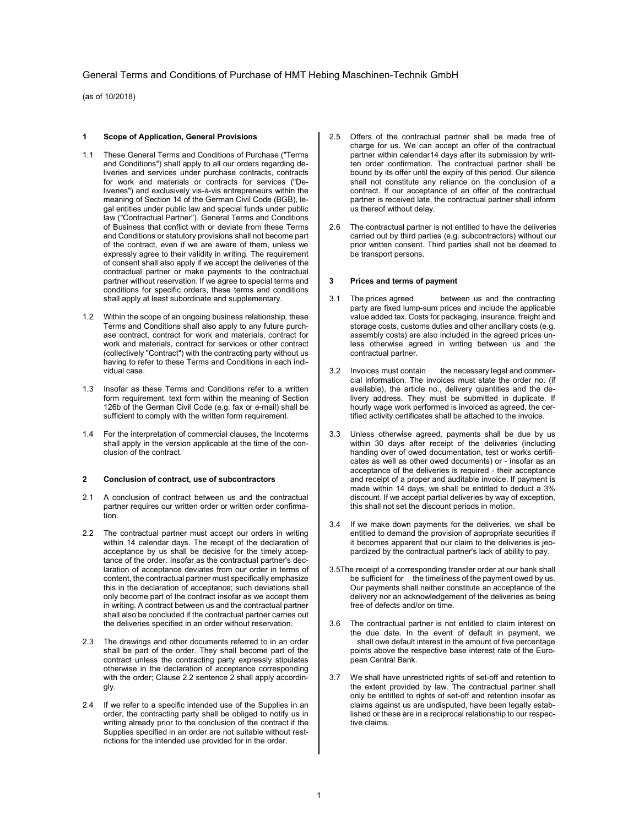(as of 10/2018)

### 1 Scope of Application, General Provisions

- 1.1 These General Terms and Conditions of Purchase ("Terms and Conditions") shall apply to all our orders regarding deliveries and services under purchase contracts, contracts for work and materials or contracts for services ("Deliveries") and exclusively vis-à-vis entrepreneurs within the meaning of Section 14 of the German Civil Code (BGB), legal entities under public law and special funds under public law ("Contractual Partner"). General Terms and Conditions of Business that conflict with or deviate from these Terms and Conditions or statutory provisions shall not become part of the contract, even if we are aware of them, unless we expressly agree to their validity in writing. The requirement of consent shall also apply if we accept the deliveries of the contractual partner or make payments to the contractual partner without reservation. If we agree to special terms and conditions for specific orders, these terms and conditions shall apply at least subordinate and supplementary.
- 1.2 Within the scope of an ongoing business relationship, these Terms and Conditions shall also apply to any future purchase contract, contract for work and materials, contract for work and materials, contract for services or other contract (collectively "Contract") with the contracting party without us having to refer to these Terms and Conditions in each individual case.
- 1.3 Insofar as these Terms and Conditions refer to a written form requirement, text form within the meaning of Section 126b of the German Civil Code (e.g. fax or e-mail) shall be sufficient to comply with the written form requirement.
- 1.4 For the interpretation of commercial clauses, the Incoterms shall apply in the version applicable at the time of the conclusion of the contract.

### 2 Conclusion of contract, use of subcontractors

- 2.1 A conclusion of contract between us and the contractual partner requires our written order or written order confirmation.
- 2.2 The contractual partner must accept our orders in writing within 14 calendar days. The receipt of the declaration of acceptance by us shall be decisive for the timely acceptance of the order. Insofar as the contractual partner's declaration of acceptance deviates from our order in terms of content, the contractual partner must specifically emphasize this in the declaration of acceptance; such deviations shall only become part of the contract insofar as we accept them in writing. A contract between us and the contractual partner shall also be concluded if the contractual partner carries out the deliveries specified in an order without reservation.
- 2.3 The drawings and other documents referred to in an order shall be part of the order. They shall become part of the contract unless the contracting party expressly stipulates otherwise in the declaration of acceptance corresponding with the order; Clause 2.2 sentence 2 shall apply accordingly.
- 2.4 If we refer to a specific intended use of the Supplies in an order, the contracting party shall be obliged to notify us in writing already prior to the conclusion of the contract if the Supplies specified in an order are not suitable without restrictions for the intended use provided for in the order.
- 2.5 Offers of the contractual partner shall be made free of charge for us. We can accept an offer of the contractual partner within calendar14 days after its submission by written order confirmation. The contractual partner shall be bound by its offer until the expiry of this period. Our silence shall not constitute any reliance on the conclusion of a contract. If our acceptance of an offer of the contractual partner is received late, the contractual partner shall inform us thereof without delay.
- 2.6 The contractual partner is not entitled to have the deliveries carried out by third parties (e.g. subcontractors) without our prior written consent. Third parties shall not be deemed to be transport persons.

#### 3 Prices and terms of payment

- 3.1 The prices agreed between us and the contracting party are fixed lump-sum prices and include the applicable value added tax. Costs for packaging, insurance, freight and storage costs, customs duties and other ancillary costs (e.g. assembly costs) are also included in the agreed prices unless otherwise agreed in writing between us and the contractual partner.
- 3.2 Invoices must contain the necessary legal and commercial information. The invoices must state the order no. (if available), the article no., delivery quantities and the delivery address. They must be submitted in duplicate. If hourly wage work performed is invoiced as agreed, the certified activity certificates shall be attached to the invoice.
- 3.3 Unless otherwise agreed, payments shall be due by us within 30 days after receipt of the deliveries (including handing over of owed documentation, test or works certificates as well as other owed documents) or - insofar as an acceptance of the deliveries is required - their acceptance and receipt of a proper and auditable invoice. If payment is made within 14 days, we shall be entitled to deduct a 3% discount. If we accept partial deliveries by way of exception, this shall not set the discount periods in motion.
- 3.4 If we make down payments for the deliveries, we shall be entitled to demand the provision of appropriate securities if it becomes apparent that our claim to the deliveries is jeopardized by the contractual partner's lack of ability to pay.
- 3.5The receipt of a corresponding transfer order at our bank shall be sufficient for the timeliness of the payment owed by us. Our payments shall neither constitute an acceptance of the delivery nor an acknowledgement of the deliveries as being free of defects and/or on time.
- 3.6 The contractual partner is not entitled to claim interest on the due date. In the event of default in payment, we shall owe default interest in the amount of five percentage points above the respective base interest rate of the European Central Bank.
- 3.7 We shall have unrestricted rights of set-off and retention to the extent provided by law. The contractual partner shall only be entitled to rights of set-off and retention insofar as claims against us are undisputed, have been legally established or these are in a reciprocal relationship to our respective claims.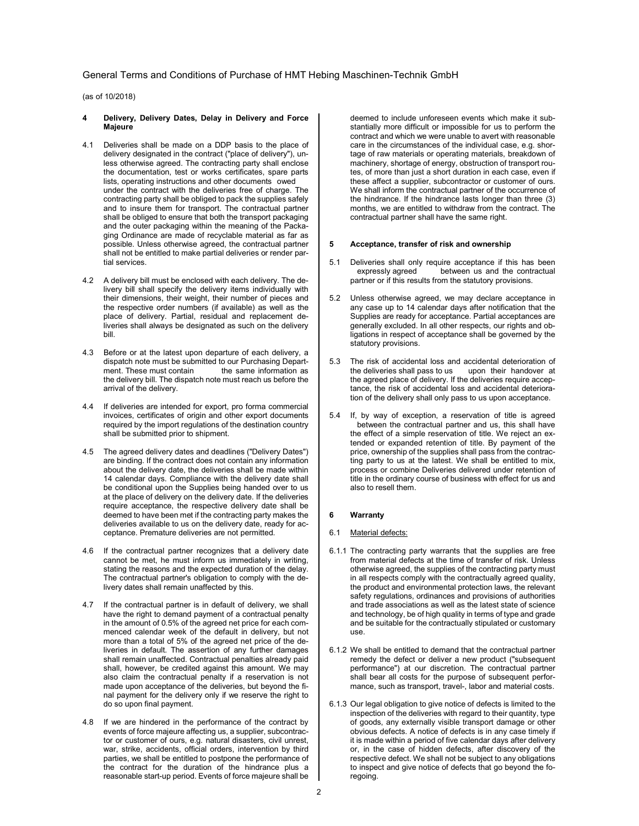(as of 10/2018)

- 4 Delivery, Delivery Dates, Delay in Delivery and Force Majeure
- 4.1 Deliveries shall be made on a DDP basis to the place of delivery designated in the contract ("place of delivery"), unless otherwise agreed. The contracting party shall enclose the documentation, test or works certificates, spare parts lists, operating instructions and other documents owed under the contract with the deliveries free of charge. The contracting party shall be obliged to pack the supplies safely and to insure them for transport. The contractual partner shall be obliged to ensure that both the transport packaging and the outer packaging within the meaning of the Packaging Ordinance are made of recyclable material as far as possible. Unless otherwise agreed, the contractual partner shall not be entitled to make partial deliveries or render partial services.
- 4.2 A delivery bill must be enclosed with each delivery. The delivery bill shall specify the delivery items individually with their dimensions, their weight, their number of pieces and the respective order numbers (if available) as well as the place of delivery. Partial, residual and replacement deliveries shall always be designated as such on the delivery bill.
- 4.3 Before or at the latest upon departure of each delivery, a dispatch note must be submitted to our Purchasing Department. These must contain the same information as the delivery bill. The dispatch note must reach us before the arrival of the delivery.
- 4.4 If deliveries are intended for export, pro forma commercial invoices, certificates of origin and other export documents required by the import regulations of the destination country shall be submitted prior to shipment.
- 4.5 The agreed delivery dates and deadlines ("Delivery Dates") are binding. If the contract does not contain any information about the delivery date, the deliveries shall be made within 14 calendar days. Compliance with the delivery date shall be conditional upon the Supplies being handed over to us at the place of delivery on the delivery date. If the deliveries require acceptance, the respective delivery date shall be deemed to have been met if the contracting party makes the deliveries available to us on the delivery date, ready for acceptance. Premature deliveries are not permitted.
- 4.6 If the contractual partner recognizes that a delivery date cannot be met, he must inform us immediately in writing, stating the reasons and the expected duration of the delay. The contractual partner's obligation to comply with the delivery dates shall remain unaffected by this.
- 4.7 If the contractual partner is in default of delivery, we shall have the right to demand payment of a contractual penalty in the amount of 0.5% of the agreed net price for each commenced calendar week of the default in delivery, but not more than a total of 5% of the agreed net price of the deliveries in default. The assertion of any further damages shall remain unaffected. Contractual penalties already paid shall, however, be credited against this amount. We may also claim the contractual penalty if a reservation is not made upon acceptance of the deliveries, but beyond the final payment for the delivery only if we reserve the right to do so upon final payment.
- 4.8 If we are hindered in the performance of the contract by events of force majeure affecting us, a supplier, subcontractor or customer of ours, e.g. natural disasters, civil unrest, war, strike, accidents, official orders, intervention by third parties, we shall be entitled to postpone the performance of the contract for the duration of the hindrance plus a reasonable start-up period. Events of force majeure shall be

deemed to include unforeseen events which make it substantially more difficult or impossible for us to perform the contract and which we were unable to avert with reasonable care in the circumstances of the individual case, e.g. shortage of raw materials or operating materials, breakdown of machinery, shortage of energy, obstruction of transport routes, of more than just a short duration in each case, even if these affect a supplier, subcontractor or customer of ours. We shall inform the contractual partner of the occurrence of the hindrance. If the hindrance lasts longer than three (3) months, we are entitled to withdraw from the contract. The contractual partner shall have the same right.

#### 5 Acceptance, transfer of risk and ownership

- 5.1 Deliveries shall only require acceptance if this has been expressly agreed between us and the contractual partner or if this results from the statutory provisions.
- 5.2 Unless otherwise agreed, we may declare acceptance in any case up to 14 calendar days after notification that the Supplies are ready for acceptance. Partial acceptances are generally excluded. In all other respects, our rights and obligations in respect of acceptance shall be governed by the statutory provisions.
- 5.3 The risk of accidental loss and accidental deterioration of the deliveries shall pass to us upon their handover at the agreed place of delivery. If the deliveries require acceptance, the risk of accidental loss and accidental deterioration of the delivery shall only pass to us upon acceptance.
- 5.4 If, by way of exception, a reservation of title is agreed between the contractual partner and us, this shall have the effect of a simple reservation of title. We reject an extended or expanded retention of title. By payment of the price, ownership of the supplies shall pass from the contracting party to us at the latest. We shall be entitled to mix, process or combine Deliveries delivered under retention of title in the ordinary course of business with effect for us and also to resell them.

## 6 Warranty

## 6.1 Material defects:

- 6.1.1 The contracting party warrants that the supplies are free from material defects at the time of transfer of risk. Unless otherwise agreed, the supplies of the contracting party must in all respects comply with the contractually agreed quality, the product and environmental protection laws, the relevant safety regulations, ordinances and provisions of authorities and trade associations as well as the latest state of science and technology, be of high quality in terms of type and grade and be suitable for the contractually stipulated or customary use.
- 6.1.2 We shall be entitled to demand that the contractual partner remedy the defect or deliver a new product ("subsequent performance") at our discretion. The contractual partner .<br>shall bear all costs for the purpose of subsequent performance, such as transport, travel-, labor and material costs.
- 6.1.3 Our legal obligation to give notice of defects is limited to the inspection of the deliveries with regard to their quantity, type of goods, any externally visible transport damage or other obvious defects. A notice of defects is in any case timely if it is made within a period of five calendar days after delivery or, in the case of hidden defects, after discovery of the respective defect. We shall not be subject to any obligations to inspect and give notice of defects that go beyond the foregoing.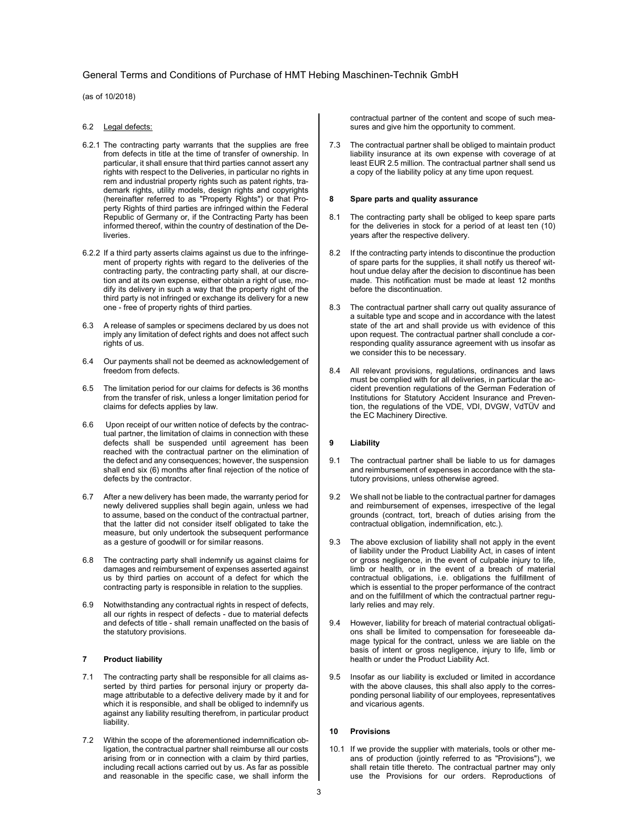(as of 10/2018)

### 6.2 Legal defects:

- 6.2.1 The contracting party warrants that the supplies are free from defects in title at the time of transfer of ownership. In particular, it shall ensure that third parties cannot assert any rights with respect to the Deliveries, in particular no rights in rem and industrial property rights such as patent rights, trademark rights, utility models, design rights and copyrights (hereinafter referred to as "Property Rights") or that Property Rights of third parties are infringed within the Federal Republic of Germany or, if the Contracting Party has been informed thereof, within the country of destination of the Deliveries.
- 6.2.2 If a third party asserts claims against us due to the infringement of property rights with regard to the deliveries of the contracting party, the contracting party shall, at our discretion and at its own expense, either obtain a right of use, modify its delivery in such a way that the property right of the third party is not infringed or exchange its delivery for a new one - free of property rights of third parties.
- 6.3 A release of samples or specimens declared by us does not imply any limitation of defect rights and does not affect such rights of us.
- 6.4 Our payments shall not be deemed as acknowledgement of freedom from defects.
- 6.5 The limitation period for our claims for defects is 36 months from the transfer of risk, unless a longer limitation period for claims for defects applies by law.
- 6.6 Upon receipt of our written notice of defects by the contractual partner, the limitation of claims in connection with these defects shall be suspended until agreement has been reached with the contractual partner on the elimination of the defect and any consequences; however, the suspension shall end six (6) months after final rejection of the notice of defects by the contractor.
- 6.7 After a new delivery has been made, the warranty period for newly delivered supplies shall begin again, unless we had to assume, based on the conduct of the contractual partner, that the latter did not consider itself obligated to take the measure, but only undertook the subsequent performance as a gesture of goodwill or for similar reasons.
- 6.8 The contracting party shall indemnify us against claims for damages and reimbursement of expenses asserted against us by third parties on account of a defect for which the contracting party is responsible in relation to the supplies.
- 6.9 Notwithstanding any contractual rights in respect of defects, all our rights in respect of defects - due to material defects and defects of title - shall remain unaffected on the basis of the statutory provisions.

### 7 Product liability

- 7.1 The contracting party shall be responsible for all claims asserted by third parties for personal injury or property damage attributable to a defective delivery made by it and for which it is responsible, and shall be obliged to indemnify us against any liability resulting therefrom, in particular product liability.
- 7.2 Within the scope of the aforementioned indemnification obligation, the contractual partner shall reimburse all our costs arising from or in connection with a claim by third parties, including recall actions carried out by us. As far as possible and reasonable in the specific case, we shall inform the

contractual partner of the content and scope of such measures and give him the opportunity to comment.

7.3 The contractual partner shall be obliged to maintain product liability insurance at its own expense with coverage of at least EUR 2.5 million. The contractual partner shall send us a copy of the liability policy at any time upon request.

### 8 Spare parts and quality assurance

- 8.1 The contracting party shall be obliged to keep spare parts for the deliveries in stock for a period of at least ten (10) years after the respective delivery.
- 8.2 If the contracting party intends to discontinue the production of spare parts for the supplies, it shall notify us thereof without undue delay after the decision to discontinue has been made. This notification must be made at least 12 months before the discontinuation.
- 8.3 The contractual partner shall carry out quality assurance of a suitable type and scope and in accordance with the latest state of the art and shall provide us with evidence of this upon request. The contractual partner shall conclude a corresponding quality assurance agreement with us insofar as we consider this to be necessary.
- 8.4 All relevant provisions, regulations, ordinances and laws must be complied with for all deliveries, in particular the accident prevention regulations of the German Federation of Institutions for Statutory Accident Insurance and Prevention, the regulations of the VDE, VDI, DVGW, VdTÜV and the EC Machinery Directive.

### 9 Liability

- 9.1 The contractual partner shall be liable to us for damages and reimbursement of expenses in accordance with the statutory provisions, unless otherwise agreed.
- 9.2 We shall not be liable to the contractual partner for damages and reimbursement of expenses, irrespective of the legal grounds (contract, tort, breach of duties arising from the contractual obligation, indemnification, etc.).
- 9.3 The above exclusion of liability shall not apply in the event of liability under the Product Liability Act, in cases of intent or gross negligence, in the event of culpable injury to life, limb or health, or in the event of a breach of material contractual obligations, i.e. obligations the fulfillment of which is essential to the proper performance of the contract and on the fulfillment of which the contractual partner regularly relies and may rely.
- 9.4 However, liability for breach of material contractual obligations shall be limited to compensation for foreseeable damage typical for the contract, unless we are liable on the basis of intent or gross negligence, injury to life, limb or health or under the Product Liability Act.
- 9.5 Insofar as our liability is excluded or limited in accordance with the above clauses, this shall also apply to the corresponding personal liability of our employees, representatives and vicarious agents.

#### 10 Provisions

10.1 If we provide the supplier with materials, tools or other means of production (jointly referred to as "Provisions"), we shall retain title thereto. The contractual partner may only use the Provisions for our orders. Reproductions of